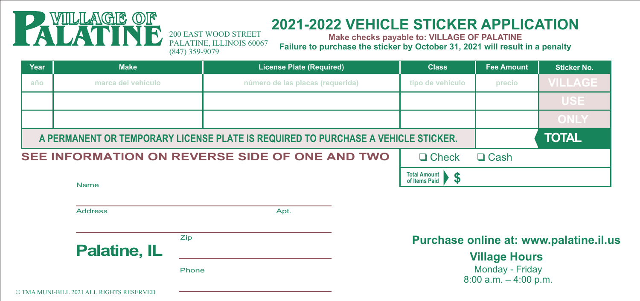## VIILLAGE

## **2021-2022 VEHICLE STICKER APPLICATION**

**Make checks payable to: VILLAGE OF PALATINE Failure to purchase the sticker by October 31, 2021 will result in a penalty**

| Year | <b>Make</b>                                                                       | <b>License Plate (Required)</b>  | <b>Class</b>                              | Fee Amount | <b>Sticker No.</b><br><b>VILLAGE</b> |  |
|------|-----------------------------------------------------------------------------------|----------------------------------|-------------------------------------------|------------|--------------------------------------|--|
| año  | marca del vehículo                                                                | número de las placas (requerida) | tipo de vehículo                          | precio     |                                      |  |
|      |                                                                                   |                                  |                                           |            | <b>USE</b>                           |  |
|      |                                                                                   |                                  |                                           |            | <b>ONLY</b>                          |  |
|      | A PERMANENT OR TEMPORARY LICENSE PLATE IS REQUIRED TO PURCHASE A VEHICLE STICKER. |                                  | <b>TOTAL</b>                              |            |                                      |  |
|      | SEE INFORMATION ON REVERSE SIDE OF ONE AND TWO                                    | $\Box$ Check                     | $\Box$ Cash                               |            |                                      |  |
|      | Name                                                                              |                                  | <b>Total Amount</b><br>S<br>of Items Paid |            |                                      |  |

**Palatine, IL** Address **Address** Apt. Zip Phone

200 EAST WOOD STREET PALATINE, ILLINOIS 60067

(847) 359-9079

**Purchase online at: www.palatine.il.us**

Monday - Friday 8:00 a.m. – 4:00 p.m. **Village Hours**